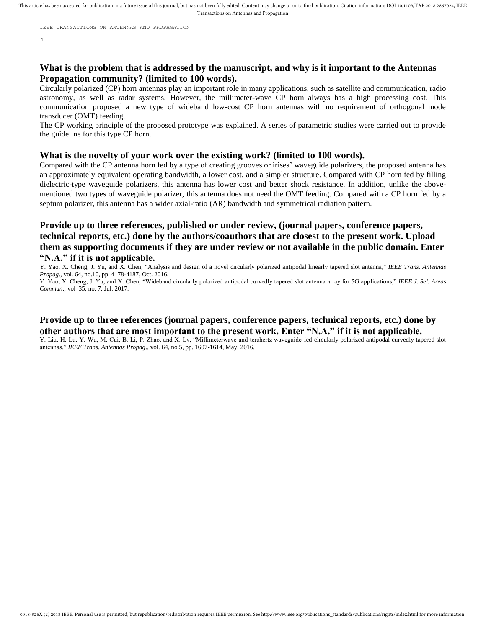This article has been accepted for publication in a future issue of this journal, but has not been fully edited. Content may change prior to final publication. Citation information: DOI 10.1109/TAP.2018.2867024, IEEE Transactions on Antennas and Propagation

IEEE TRANSACTIONS ON ANTENNAS AND PROPAGATION

1

# **What is the problem that is addressed by the manuscript, and why is it important to the Antennas Propagation community? (limited to 100 words).**

Circularly polarized (CP) horn antennas play an important role in many applications, such as satellite and communication, radio astronomy, as well as radar systems. However, the millimeter-wave CP horn always has a high processing cost. This communication proposed a new type of wideband low-cost CP horn antennas with no requirement of orthogonal mode transducer (OMT) feeding.

The CP working principle of the proposed prototype was explained. A series of parametric studies were carried out to provide the guideline for this type CP horn.

# **What is the novelty of your work over the existing work? (limited to 100 words).**

Compared with the CP antenna horn fed by a type of creating grooves or irises' waveguide polarizers, the proposed antenna has an approximately equivalent operating bandwidth, a lower cost, and a simpler structure. Compared with CP horn fed by filling dielectric-type waveguide polarizers, this antenna has lower cost and better shock resistance. In addition, unlike the abovementioned two types of waveguide polarizer, this antenna does not need the OMT feeding. Compared with a CP horn fed by a septum polarizer, this antenna has a wider axial-ratio (AR) bandwidth and symmetrical radiation pattern.

# **Provide up to three references, published or under review, (journal papers, conference papers, technical reports, etc.) done by the authors/coauthors that are closest to the present work. Upload them as supporting documents if they are under review or not available in the public domain. Enter "N.A." if it is not applicable.**

Y. Yao, X. Cheng, J. Yu, and X. Chen, "Analysis and design of a novel circularly polarized antipodal linearly tapered slot antenna," *IEEE Trans. Antennas Propag*., vol. 64, no.10, pp. 4178-4187, Oct. 2016.

Y. Yao, X. Cheng, J. Yu, and X. Chen, "Wideband circularly polarized antipodal curvedly tapered slot antenna array for 5G applications," *IEEE J. Sel. Areas Commun*., vol .35, no. 7, Jul. 2017.

# **Provide up to three references (journal papers, conference papers, technical reports, etc.) done by other authors that are most important to the present work. Enter "N.A." if it is not applicable.**

Y. Liu, H. Lu, Y. Wu, M. Cui, B. Li, P. Zhao, and X. Lv, "Millimeterwave and terahertz waveguide-fed circularly polarized antipodal curvedly tapered slot antennas," *IEEE Trans. Antennas Propag*., vol. 64, no.5, pp. 1607-1614, May. 2016.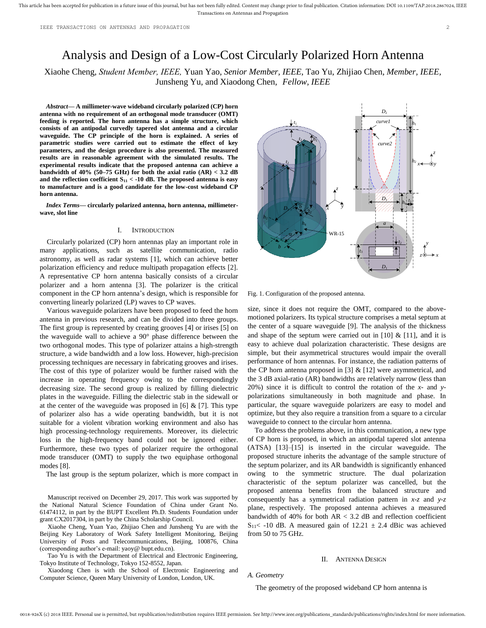# Analysis and Design of a Low-Cost Circularly Polarized Horn Antenna

Xiaohe Cheng, *Student Member, IEEE,* Yuan Yao, *Senior Member, IEEE,* Tao Yu, Zhijiao Chen, *Member, IEEE,*  Junsheng Yu, and Xiaodong Chen, *Fellow, IEEE*

*Abstract***— A millimeter-wave wideband circularly polarized (CP) horn antenna with no requirement of an orthogonal mode transducer (OMT) feeding is reported. The horn antenna has a simple structure, which consists of an antipodal curvedly tapered slot antenna and a circular waveguide. The CP principle of the horn is explained. A series of parametric studies were carried out to estimate the effect of key parameters, and the design procedure is also presented. The measured results are in reasonable agreement with the simulated results. The experimental results indicate that the proposed antenna can achieve a bandwidth of 40% (50–75 GHz) for both the axial ratio (AR) < 3.2 dB**  and the reflection coefficient  $S_{11}$  < -10 dB. The proposed antenna is easy **to manufacture and is a good candidate for the low-cost wideband CP horn antenna.**

*Index Terms***— circularly polarized antenna, horn antenna, millimeterwave, slot line**

#### I. INTRODUCTION

Circularly polarized (CP) horn antennas play an important role in many applications, such as satellite communication, radio astronomy, as well as radar systems [1], which can achieve better polarization efficiency and reduce multipath propagation effects [2]. A representative CP horn antenna basically consists of a circular polarizer and a horn antenna [3]. The polarizer is the critical component in the CP horn antenna's design, which is responsible for converting linearly polarized (LP) waves to CP waves.

Various waveguide polarizers have been proposed to feed the horn antenna in previous research, and can be divided into three groups. The first group is represented by creating grooves [4] or irises [5] on the waveguide wall to achieve a 90° phase difference between the two orthogonal modes. This type of polarizer attains a high-strength structure, a wide bandwidth and a low loss. However, high-precision processing techniques are necessary in fabricating grooves and irises. The cost of this type of polarizer would be further raised with the increase in operating frequency owing to the correspondingly decreasing size. The second group is realized by filling dielectric plates in the waveguide. Filling the dielectric stab in the sidewall or at the center of the waveguide was proposed in  $[6]$  &  $[7]$ . This type of polarizer also has a wide operating bandwidth, but it is not suitable for a violent vibration working environment and also has high processing-technology requirements. Moreover, its dielectric loss in the high-frequency band could not be ignored either. Furthermore, these two types of polarizer require the orthogonal mode transducer (OMT) to supply the two equiphase orthogonal modes [8].

The last group is the septum polarizer, which is more compact in

Manuscript received on December 29, 2017. This work was supported by the National Natural Science Foundation of China under Grant No. 61474112, in part by the BUPT Excellent Ph.D. Students Foundation under grant CX2017304, in part by the China Scholarship Council.

Xiaohe Cheng, Yuan Yao, Zhijiao Chen and Junsheng Yu are with the Beijing Key Laboratory of Work Safety Intelligent Monitoring, Beijing University of Posts and Telecommunications, Beijing, 100876, China (corresponding author's e-mail: yaoy@ bupt.edu.cn).

Tao Yu is with the Department of Electrical and Electronic Engineering, Tokyo Institute of Technology, Tokyo 152-8552, Japan.

Xiaodong Chen is with the School of Electronic Engineering and Computer Science, Queen Mary University of London, London, UK.



Fig. 1. Configuration of the proposed antenna.

size, since it does not require the OMT, compared to the abovemotioned polarizers. Its typical structure comprises a metal septum at the center of a square waveguide [9]. The analysis of the thickness and shape of the septum were carried out in  $[10]$  &  $[11]$ , and it is easy to achieve dual polarization characteristic. These designs are simple, but their asymmetrical structures would impair the overall performance of horn antennas. For instance, the radiation patterns of the CP horn antenna proposed in [3]  $&$  [12] were asymmetrical, and the 3 dB axial-ratio (AR) bandwidths are relatively narrow (less than 20%) since it is difficult to control the rotation of the *x*- and *y*polarizations simultaneously in both magnitude and phase. In particular, the square waveguide polarizers are easy to model and optimize, but they also require a transition from a square to a circular waveguide to connect to the circular horn antenna.

To address the problems above, in this communication, a new type of CP horn is proposed, in which an antipodal tapered slot antenna (ATSA) [13]–[15] is inserted in the circular waveguide. The proposed structure inherits the advantage of the sample structure of the septum polarizer, and its AR bandwidth is significantly enhanced owing to the symmetric structure. The dual polarization characteristic of the septum polarizer was cancelled, but the proposed antenna benefits from the balanced structure and consequently has a symmetrical radiation pattern in *x*-*z* and *y*-*z* plane, respectively. The proposed antenna achieves a measured bandwidth of 40% for both  $AR < 3.2$  dB and reflection coefficient  $S_{11}$  < -10 dB. A measured gain of 12.21  $\pm$  2.4 dBic was achieved from 50 to 75 GHz.

### II. ANTENNA DESIGN

*A. Geometry*

The geometry of the proposed wideband CP horn antenna is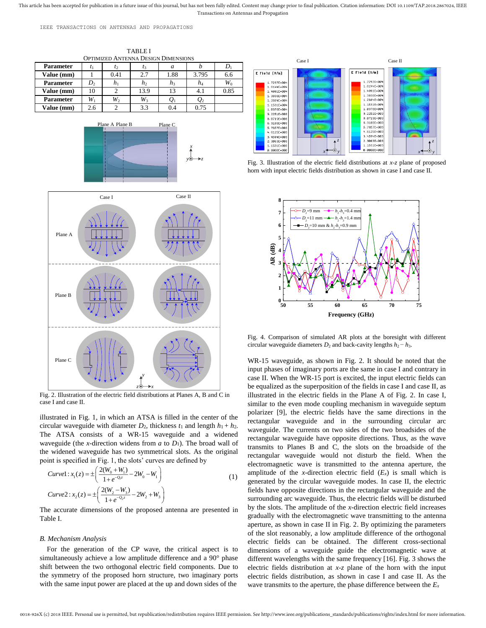This article has been accepted for publication in a future issue of this journal, but has not been fully edited. Content may change prior to final publication. Citation information: DOI 10.1109/TAP.2018.2867024, IEEE Transactions on Antennas and Propagation

IEEE TRANSACTIONS ON ANTENNAS AND PROPAGATIONS







Fig. 2. Illustration of the electric field distributions at Planes A, B and C in case I and case II.

illustrated in Fig. 1, in which an ATSA is filled in the center of the circular waveguide with diameter  $D_2$ , thickness  $t_1$  and length  $h_1 + h_2$ . The ATSA consists of a WR-15 waveguide and a widened waveguide (the *x*-direction widens from *a* to *D*1). The broad wall of the widened waveguide has two symmetrical slots. As the original point is specified in Fig. 1, the slots' curves are defined by

$$
Curvel: x_1(z) = \pm \left( \frac{2(W_0 + W_1)}{1 + e^{-Q_1 z}} - 2W_0 - W_1 \right)
$$
  
\n
$$
Curve2: x_2(z) = \pm \left( \frac{2(W_2 - W_3)}{1 + e^{-Q_2 z}} - 2W_2 + W_3 \right)
$$
\n(1)

The accurate dimensions of the proposed antenna are presented in Table I.

#### *B. Mechanism Analysis*

For the generation of the CP wave, the critical aspect is to simultaneously achieve a low amplitude difference and a 90° phase shift between the two orthogonal electric field components. Due to the symmetry of the proposed horn structure, two imaginary ports with the same input power are placed at the up and down sides of the



Fig. 3. Illustration of the electric field distributions at *x*-*z* plane of proposed horn with input electric fields distribution as shown in case I and case II.



Fig. 4. Comparison of simulated AR plots at the boresight with different circular waveguide diameters  $D_2$  and back-cavity lengths  $h_2 - h_3$ .

WR-15 waveguide, as shown in Fig. 2. It should be noted that the input phases of imaginary ports are the same in case I and contrary in case II. When the WR-15 port is excited, the input electric fields can be equalized as the superposition of the fields in case I and case II, as illustrated in the electric fields in the Plane A of Fig. 2. In case I, similar to the even mode coupling mechanism in waveguide septum polarizer [9], the electric fields have the same directions in the rectangular waveguide and in the surrounding circular arc waveguide. The currents on two sides of the two broadsides of the rectangular waveguide have opposite directions. Thus, as the wave transmits to Planes B and C, the slots on the broadside of the rectangular waveguide would not disturb the field. When the electromagnetic wave is transmitted to the antenna aperture, the amplitude of the *x*-direction electric field  $(E_x)$  is small which is generated by the circular waveguide modes. In case II, the electric fields have opposite directions in the rectangular waveguide and the surrounding arc waveguide. Thus, the electric fields will be disturbed by the slots. The amplitude of the *x*-direction electric field increases gradually with the electromagnetic wave transmitting to the antenna aperture, as shown in case II in Fig. 2. By optimizing the parameters of the slot reasonably, a low amplitude difference of the orthogonal electric fields can be obtained. The different cross-sectional dimensions of a waveguide guide the electromagnetic wave at different wavelengths with the same frequency [16]. Fig. 3 shows the electric fields distribution at *x*-*z* plane of the horn with the input electric fields distribution, as shown in case I and case II. As the wave transmits to the aperture, the phase difference between the *E<sup>x</sup>*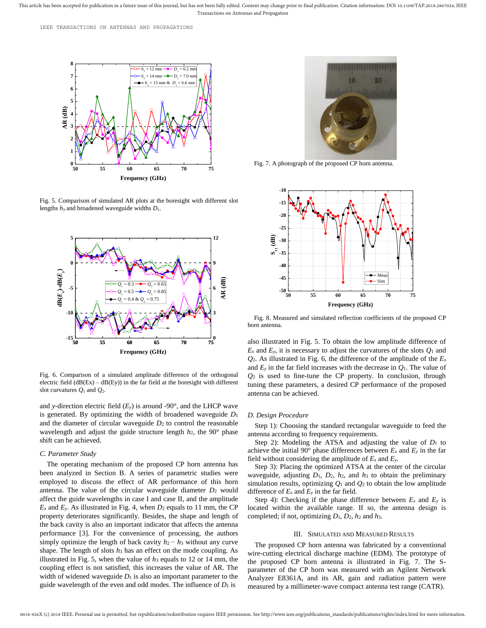This article has been accepted for publication in a future issue of this journal, but has not been fully edited. Content may change prior to final publication. Citation information: DOI 10.1109/TAP.2018.2867024, IEEE Transactions on Antennas and Propagation



Fig. 5. Comparison of simulated AR plots at the boresight with different slot lengths  $h_3$  and broadened waveguide widths  $D_1$ .



Fig. 6. Comparison of a simulated amplitude difference of the orthogonal electric field  $(dB(EX) - dB(Ey))$  in the far field at the boresight with different slot curvatures  $Q_1$  and  $Q_2$ .

and *y*-direction electric field (*Ey*) is around -90°, and the LHCP wave is generated. By optimizing the width of broadened waveguide *D*<sup>1</sup> and the diameter of circular waveguide  $D_2$  to control the reasonable wavelength and adjust the guide structure length *h*2, the 90° phase shift can be achieved.

### *C. Parameter Study*

The operating mechanism of the proposed CP horn antenna has been analyzed in Section B. A series of parametric studies were employed to discuss the effect of AR performance of this horn antenna. The value of the circular waveguide diameter *D*<sup>2</sup> would affect the guide wavelengths in case I and case II, and the amplitude  $E_x$  and  $E_y$ . As illustrated in Fig. 4, when  $D_2$  equals to 11 mm, the CP property deteriorates significantly. Besides, the shape and length of the back cavity is also an important indicator that affects the antenna performance [3]. For the convenience of processing, the authors simply optimize the length of back cavity  $h_2 - h_3$  without any curve shape. The length of slots *h*<sup>3</sup> has an effect on the mode coupling. As illustrated in Fig. 5, when the value of *h*<sup>3</sup> equals to 12 or 14 mm, the coupling effect is not satisfied, this increases the value of AR. The width of widened waveguide  $D_1$  is also an important parameter to the guide wavelength of the even and odd modes. The influence of  $D_1$  is



Fig. 7. A photograph of the proposed CP horn antenna.



Fig. 8. Measured and simulated reflection coefficients of the proposed CP horn antenna.

also illustrated in Fig. 5. To obtain the low amplitude difference of  $E_x$  and  $E_y$ , it is necessary to adjust the curvatures of the slots  $Q_1$  and  $Q_2$ . As illustrated in Fig. 6, the difference of the amplitude of the  $E_x$ and  $E_y$  in the far field increases with the decrease in  $Q_1$ . The value of *Q*<sup>2</sup> is used to fine-tune the CP property. In conclusion, through tuning these parameters, a desired CP performance of the proposed antenna can be achieved.

## *D. Design Procedure*

Step 1): Choosing the standard rectangular waveguide to feed the antenna according to frequency requirements.

Step 2): Modeling the ATSA and adjusting the value of  $D_1$  to achieve the initial 90 $^{\circ}$  phase differences between  $E_x$  and  $E_y$  in the far field without considering the amplitude of  $E_x$  and  $E_y$ .

Step 3): Placing the optimized ATSA at the center of the circular waveguide, adjusting *D*1, *D*2, *h*2, and *h*<sup>3</sup> to obtain the preliminary simulation results, optimizing  $Q_1$  and  $Q_2$  to obtain the low amplitude difference of  $E_x$  and  $E_y$  in the far field.

Step 4): Checking if the phase difference between  $E_x$  and  $E_y$  is located within the available range. If so, the antenna design is completed; if not, optimizing *D*1, *D*2, *h*<sup>2</sup> and *h*3.

#### III. SIMULATED AND MEASURED RESULTS

The proposed CP horn antenna was fabricated by a conventional wire-cutting electrical discharge machine (EDM). The prototype of the proposed CP horn antenna is illustrated in Fig. 7. The Sparameter of the CP horn was measured with an Agilent Network Analyzer E8361A, and its AR, gain and radiation pattern were measured by a millimeter-wave compact antenna test range (CATR).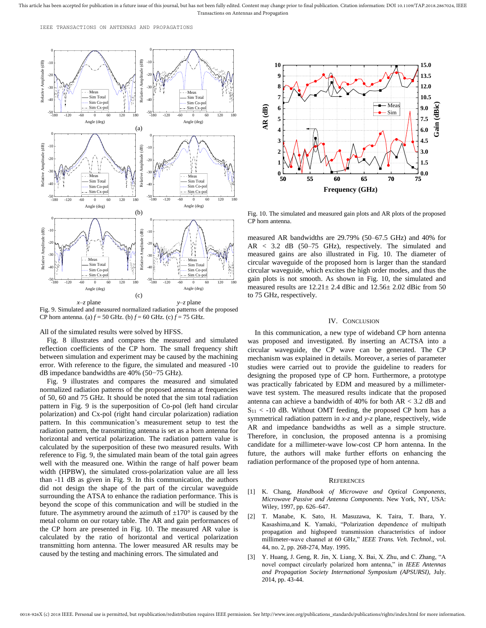IEEE TRANSACTIONS ON ANTENNAS AND PROPAGATIONS



Fig. 9. Simulated and measured normalized radiation patterns of the proposed CP horn antenna. (a)  $f = 50$  GHz. (b)  $f = 60$  GHz. (c)  $f = 75$  GHz.

All of the simulated results were solved by HFSS.

Fig. 8 illustrates and compares the measured and simulated reflection coefficients of the CP horn. The small frequency shift between simulation and experiment may be caused by the machining error. With reference to the figure, the simulated and measured -10 dB impedance bandwidths are 40% (50−75 GHz).

Fig. 9 illustrates and compares the measured and simulated normalized radiation patterns of the proposed antenna at frequencies of 50, 60 and 75 GHz. It should be noted that the sim total radiation pattern in Fig. 9 is the superposition of Co-pol (left hand circular polarization) and Cx-pol (right hand circular polarization) radiation pattern. In this communication's measurement setup to test the radiation pattern, the transmitting antenna is set as a horn antenna for horizontal and vertical polarization. The radiation pattern value is calculated by the superposition of these two measured results. With reference to Fig. 9, the simulated main beam of the total gain agrees well with the measured one. Within the range of half power beam width (HPBW), the simulated cross-polarization value are all less than -11 dB as given in Fig. 9. In this communication, the authors did not design the shape of the part of the circular waveguide surrounding the ATSA to enhance the radiation performance. This is beyond the scope of this communication and will be studied in the future. The asymmetry around the azimuth of  $\pm 170^{\circ}$  is caused by the metal column on our rotary table. The AR and gain performances of the CP horn are presented in Fig. 10. The measured AR value is calculated by the ratio of horizontal and vertical polarization transmitting horn antenna. The lower measured AR results may be caused by the testing and machining errors. The simulated and



Fig. 10. The simulated and measured gain plots and AR plots of the proposed CP horn antenna.

measured AR bandwidths are 29.79% (50–67.5 GHz) and 40% for AR < 3.2 dB (50–75 GHz), respectively. The simulated and measured gains are also illustrated in Fig. 10. The diameter of circular waveguide of the proposed horn is larger than the standard circular waveguide, which excites the high order modes, and thus the gain plots is not smooth. As shown in Fig. 10, the simulated and measured results are 12.21± 2.4 dBic and 12.56± 2.02 dBic from 50 to 75 GHz, respectively.

### IV. CONCLUSION

In this communication, a new type of wideband CP horn antenna was proposed and investigated. By inserting an ACTSA into a circular waveguide, the CP wave can be generated. The CP mechanism was explained in details. Moreover, a series of parameter studies were carried out to provide the guideline to readers for designing the proposed type of CP horn. Furthermore, a prototype was practically fabricated by EDM and measured by a millimeterwave test system. The measured results indicate that the proposed antenna can achieve a bandwidth of 40% for both AR < 3.2 dB and  $S_{11}$  < -10 dB. Without OMT feeding, the proposed CP horn has a symmetrical radiation pattern in *x*-*z* and *y*-*z* plane, respectively, wide AR and impedance bandwidths as well as a simple structure. Therefore, in conclusion, the proposed antenna is a promising candidate for a millimeter-wave low-cost CP horn antenna. In the future, the authors will make further efforts on enhancing the radiation performance of the proposed type of horn antenna.

### **REFERENCES**

- [1] K. Chang, *Handbook of Microwave and Optical Components*, *Microwave Passive and Antenna Components*. New York, NY, USA: Wiley, 1997, pp. 626–647.
- [2] T. Manabe, K. Sato, H. Masuzawa, K. Taira, T. Ihara, Y. Kasashima,and K. Yamaki, "Polarization dependence of multipath propagation and highspeed transmission characteristics of indoor millimeter-wave channel at 60 GHz," *IEEE Trans. Veh. Technol*., vol. 44, no. 2, pp. 268-274, May. 1995.
- [3] Y. Huang, J. Geng, R. Jin, X. Liang, X. Bai, X. Zhu, and C. Zhang, "A novel compact circularly polarized horn antenna," in *IEEE Antennas and Propagation Society International Symposium (APSURSI),* July. 2014, pp. 43-44.